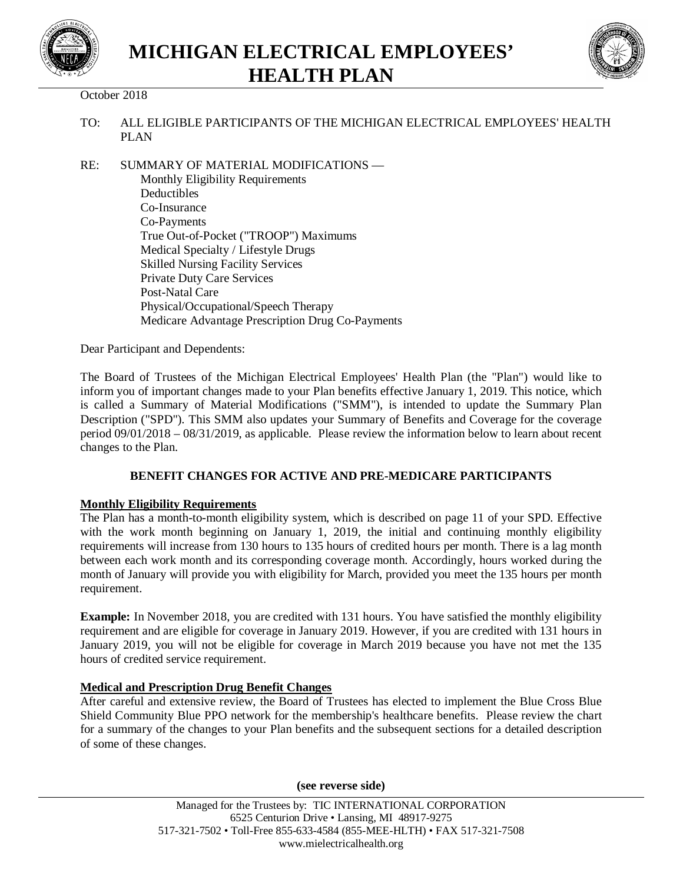



# October 2018

- TO: ALL ELIGIBLE PARTICIPANTS OF THE MICHIGAN ELECTRICAL EMPLOYEES' HEALTH PLAN
- RE: SUMMARY OF MATERIAL MODIFICATIONS Monthly Eligibility Requirements Deductibles Co-Insurance Co-Payments True Out-of-Pocket ("TROOP") Maximums Medical Specialty / Lifestyle Drugs Skilled Nursing Facility Services Private Duty Care Services Post-Natal Care Physical/Occupational/Speech Therapy Medicare Advantage Prescription Drug Co-Payments

Dear Participant and Dependents:

The Board of Trustees of the Michigan Electrical Employees' Health Plan (the "Plan") would like to inform you of important changes made to your Plan benefits effective January 1, 2019. This notice, which is called a Summary of Material Modifications ("SMM"), is intended to update the Summary Plan Description ("SPD"). This SMM also updates your Summary of Benefits and Coverage for the coverage period 09/01/2018 – 08/31/2019, as applicable. Please review the information below to learn about recent changes to the Plan.

## **BENEFIT CHANGES FOR ACTIVE AND PRE-MEDICARE PARTICIPANTS**

## **Monthly Eligibility Requirements**

The Plan has a month-to-month eligibility system, which is described on page 11 of your SPD. Effective with the work month beginning on January 1, 2019, the initial and continuing monthly eligibility requirements will increase from 130 hours to 135 hours of credited hours per month. There is a lag month between each work month and its corresponding coverage month. Accordingly, hours worked during the month of January will provide you with eligibility for March, provided you meet the 135 hours per month requirement.

**Example:** In November 2018, you are credited with 131 hours. You have satisfied the monthly eligibility requirement and are eligible for coverage in January 2019. However, if you are credited with 131 hours in January 2019, you will not be eligible for coverage in March 2019 because you have not met the 135 hours of credited service requirement.

## **Medical and Prescription Drug Benefit Changes**

After careful and extensive review, the Board of Trustees has elected to implement the Blue Cross Blue Shield Community Blue PPO network for the membership's healthcare benefits. Please review the chart for a summary of the changes to your Plan benefits and the subsequent sections for a detailed description of some of these changes.

**(see reverse side)**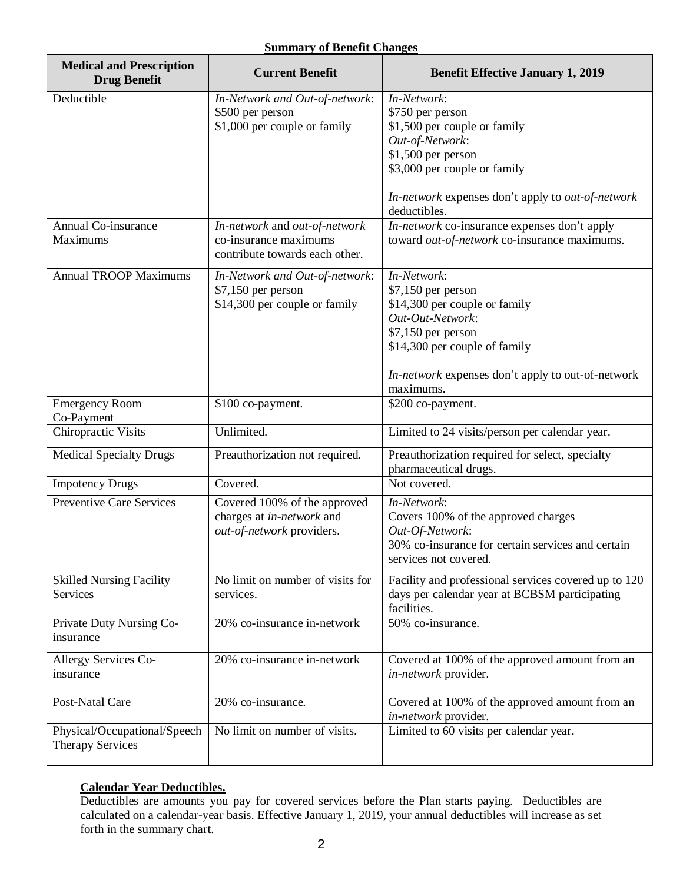## **Summary of Benefit Changes**

| <b>Medical and Prescription</b><br><b>Drug Benefit</b> | <b>Current Benefit</b>                                  | <b>Benefit Effective January 1, 2019</b>                                   |  |  |
|--------------------------------------------------------|---------------------------------------------------------|----------------------------------------------------------------------------|--|--|
| Deductible                                             | In-Network and Out-of-network:                          | In-Network:                                                                |  |  |
|                                                        | \$500 per person                                        | \$750 per person                                                           |  |  |
|                                                        | \$1,000 per couple or family                            | \$1,500 per couple or family                                               |  |  |
|                                                        |                                                         | Out-of-Network:                                                            |  |  |
|                                                        |                                                         | \$1,500 per person                                                         |  |  |
|                                                        |                                                         | \$3,000 per couple or family                                               |  |  |
|                                                        |                                                         | In-network expenses don't apply to out-of-network<br>deductibles.          |  |  |
| Annual Co-insurance                                    | In-network and out-of-network                           | In-network co-insurance expenses don't apply                               |  |  |
| Maximums                                               | co-insurance maximums<br>contribute towards each other. | toward out-of-network co-insurance maximums.                               |  |  |
| <b>Annual TROOP Maximums</b>                           | In-Network and Out-of-network:                          | In-Network:                                                                |  |  |
|                                                        | $$7,150$ per person                                     | $$7,150$ per person                                                        |  |  |
|                                                        | \$14,300 per couple or family                           | \$14,300 per couple or family                                              |  |  |
|                                                        |                                                         | Out-Out-Network:                                                           |  |  |
|                                                        |                                                         | $$7,150$ per person                                                        |  |  |
|                                                        |                                                         | \$14,300 per couple of family                                              |  |  |
|                                                        |                                                         | In-network expenses don't apply to out-of-network<br>maximums.             |  |  |
| <b>Emergency Room</b>                                  | \$100 co-payment.                                       | \$200 co-payment.                                                          |  |  |
| Co-Payment                                             |                                                         |                                                                            |  |  |
| Chiropractic Visits                                    | Unlimited.                                              | Limited to 24 visits/person per calendar year.                             |  |  |
| <b>Medical Specialty Drugs</b>                         | Preauthorization not required.                          | Preauthorization required for select, specialty<br>pharmaceutical drugs.   |  |  |
| <b>Impotency Drugs</b>                                 | Covered.                                                | Not covered.                                                               |  |  |
| <b>Preventive Care Services</b>                        | Covered 100% of the approved                            | In-Network:                                                                |  |  |
|                                                        | charges at in-network and                               | Covers 100% of the approved charges                                        |  |  |
|                                                        | out-of-network providers.                               | Out-Of-Network:                                                            |  |  |
|                                                        |                                                         | 30% co-insurance for certain services and certain<br>services not covered. |  |  |
| <b>Skilled Nursing Facility</b>                        | No limit on number of visits for                        | Facility and professional services covered up to 120                       |  |  |
| Services                                               | services.                                               | days per calendar year at BCBSM participating<br>facilities.               |  |  |
| Private Duty Nursing Co-<br>insurance                  | 20% co-insurance in-network                             | 50% co-insurance.                                                          |  |  |
| Allergy Services Co-                                   | 20% co-insurance in-network                             | Covered at 100% of the approved amount from an                             |  |  |
| insurance                                              |                                                         | in-network provider.                                                       |  |  |
| Post-Natal Care                                        | 20% co-insurance.                                       | Covered at 100% of the approved amount from an<br>in-network provider.     |  |  |
| Physical/Occupational/Speech                           | No limit on number of visits.                           | Limited to 60 visits per calendar year.                                    |  |  |
| <b>Therapy Services</b>                                |                                                         |                                                                            |  |  |

# **Calendar Year Deductibles.**

Deductibles are amounts you pay for covered services before the Plan starts paying. Deductibles are calculated on a calendar-year basis. Effective January 1, 2019, your annual deductibles will increase as set forth in the summary chart.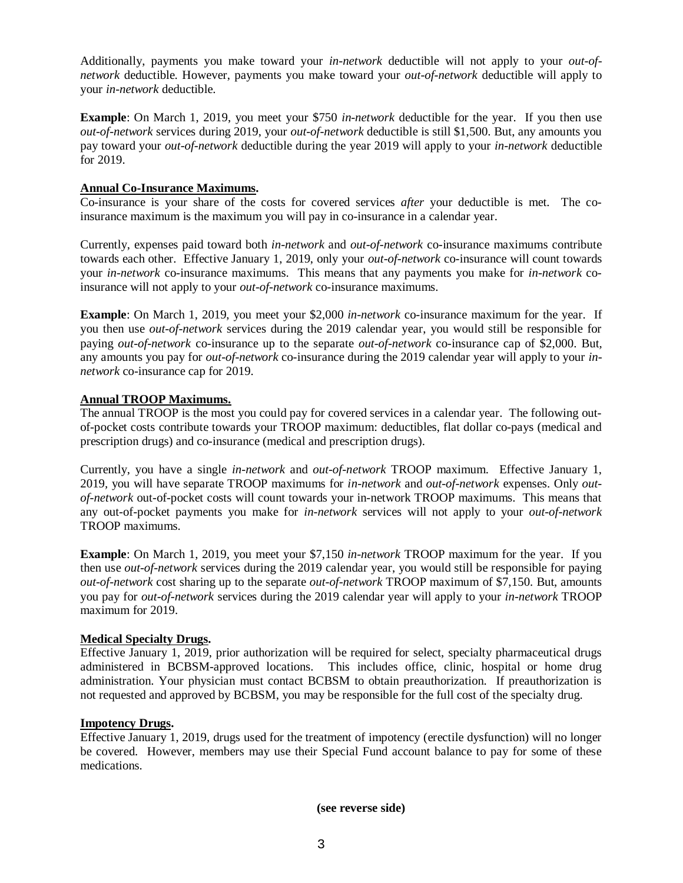Additionally, payments you make toward your *in-network* deductible will not apply to your *out-ofnetwork* deductible. However, payments you make toward your *out-of-network* deductible will apply to your *in-network* deductible.

**Example**: On March 1, 2019, you meet your \$750 *in-network* deductible for the year. If you then use *out-of-network* services during 2019, your *out-of-network* deductible is still \$1,500. But, any amounts you pay toward your *out-of-network* deductible during the year 2019 will apply to your *in-network* deductible for 2019.

#### **Annual Co-Insurance Maximums.**

Co-insurance is your share of the costs for covered services *after* your deductible is met. The coinsurance maximum is the maximum you will pay in co-insurance in a calendar year.

Currently, expenses paid toward both *in*-*network* and *out-of-network* co-insurance maximums contribute towards each other. Effective January 1, 2019, only your *out-of-network* co-insurance will count towards your *in-network* co-insurance maximums. This means that any payments you make for *in-network* coinsurance will not apply to your *out-of-network* co-insurance maximums.

**Example**: On March 1, 2019, you meet your \$2,000 *in-network* co-insurance maximum for the year. If you then use *out-of-network* services during the 2019 calendar year, you would still be responsible for paying *out-of-network* co-insurance up to the separate *out-of-network* co-insurance cap of \$2,000. But*,* any amounts you pay for *out-of-network* co-insurance during the 2019 calendar year will apply to your *innetwork* co-insurance cap for 2019.

## **Annual TROOP Maximums.**

The annual TROOP is the most you could pay for covered services in a calendar year. The following outof-pocket costs contribute towards your TROOP maximum: deductibles, flat dollar co-pays (medical and prescription drugs) and co-insurance (medical and prescription drugs).

Currently, you have a single *in*-*network* and *out-of-network* TROOP maximum. Effective January 1, 2019*,* you will have separate TROOP maximums for *in-network* and *out-of-network* expenses. Only *outof-network* out-of-pocket costs will count towards your in-network TROOP maximums. This means that any out-of-pocket payments you make for *in-network* services will not apply to your *out-of-network* TROOP maximums.

**Example**: On March 1, 2019, you meet your \$7,150 *in-network* TROOP maximum for the year. If you then use *out-of-network* services during the 2019 calendar year, you would still be responsible for paying *out-of-network* cost sharing up to the separate *out-of-network* TROOP maximum of \$7,150. But, amounts you pay for *out-of-network* services during the 2019 calendar year will apply to your *in-network* TROOP maximum for 2019.

#### **Medical Specialty Drugs.**

Effective January 1, 2019, prior authorization will be required for select, specialty pharmaceutical drugs administered in BCBSM-approved locations. This includes office, clinic, hospital or home drug administration. Your physician must contact BCBSM to obtain preauthorization. If preauthorization is not requested and approved by BCBSM, you may be responsible for the full cost of the specialty drug.

#### **Impotency Drugs.**

Effective January 1, 2019, drugs used for the treatment of impotency (erectile dysfunction) will no longer be covered. However, members may use their Special Fund account balance to pay for some of these medications.

**(see reverse side)**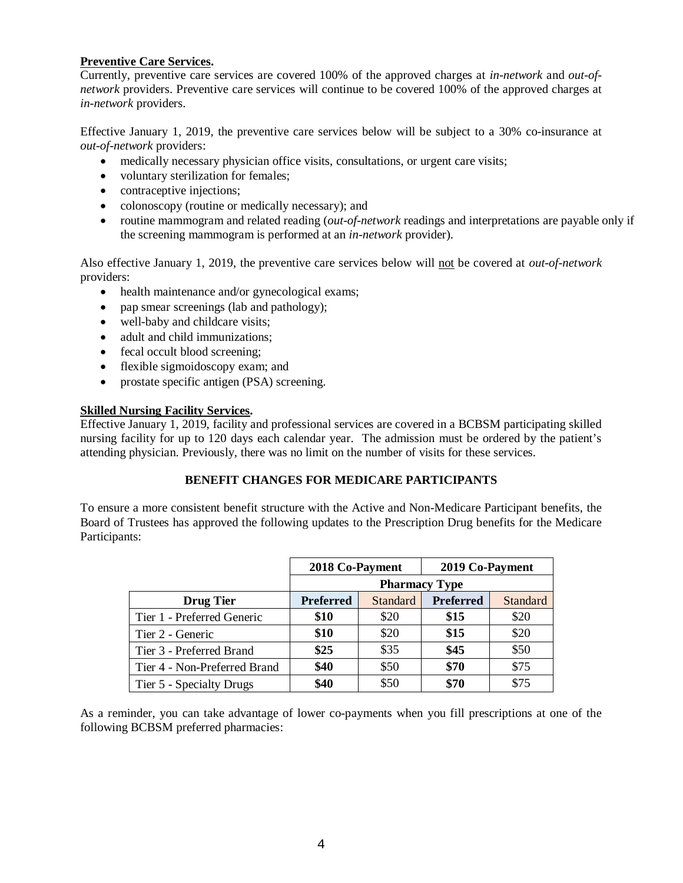## **Preventive Care Services.**

Currently, preventive care services are covered 100% of the approved charges at *in-network* and *out-ofnetwork* providers. Preventive care services will continue to be covered 100% of the approved charges at *in-network* providers.

Effective January 1, 2019, the preventive care services below will be subject to a 30% co-insurance at *out-of-network* providers:

- medically necessary physician office visits, consultations, or urgent care visits;
- voluntary sterilization for females;
- contraceptive injections;
- colonoscopy (routine or medically necessary); and
- routine mammogram and related reading (*out-of-network* readings and interpretations are payable only if the screening mammogram is performed at an *in-network* provider).

Also effective January 1, 2019, the preventive care services below will not be covered at *out-of-network* providers:

- health maintenance and/or gynecological exams;
- pap smear screenings (lab and pathology);
- well-baby and childcare visits;
- adult and child immunizations;
- fecal occult blood screening;
- flexible sigmoidoscopy exam; and
- prostate specific antigen (PSA) screening.

## **Skilled Nursing Facility Services.**

Effective January 1, 2019, facility and professional services are covered in a BCBSM participating skilled nursing facility for up to 120 days each calendar year. The admission must be ordered by the patient's attending physician. Previously, there was no limit on the number of visits for these services.

## **BENEFIT CHANGES FOR MEDICARE PARTICIPANTS**

To ensure a more consistent benefit structure with the Active and Non-Medicare Participant benefits, the Board of Trustees has approved the following updates to the Prescription Drug benefits for the Medicare Participants:

|                              | 2018 Co-Payment      |          | 2019 Co-Payment  |          |  |
|------------------------------|----------------------|----------|------------------|----------|--|
|                              | <b>Pharmacy Type</b> |          |                  |          |  |
| <b>Drug Tier</b>             | <b>Preferred</b>     | Standard | <b>Preferred</b> | Standard |  |
| Tier 1 - Preferred Generic   | \$10                 | \$20     | \$15             | \$20     |  |
| Tier 2 - Generic             | \$10                 | \$20     | \$15             | \$20     |  |
| Tier 3 - Preferred Brand     | \$25                 | \$35     | \$45             | \$50     |  |
| Tier 4 - Non-Preferred Brand | \$40                 | \$50     | \$70             | \$75     |  |
| Tier 5 - Specialty Drugs     | \$40                 | \$50     | \$70             | \$75     |  |

As a reminder, you can take advantage of lower co-payments when you fill prescriptions at one of the following BCBSM preferred pharmacies: